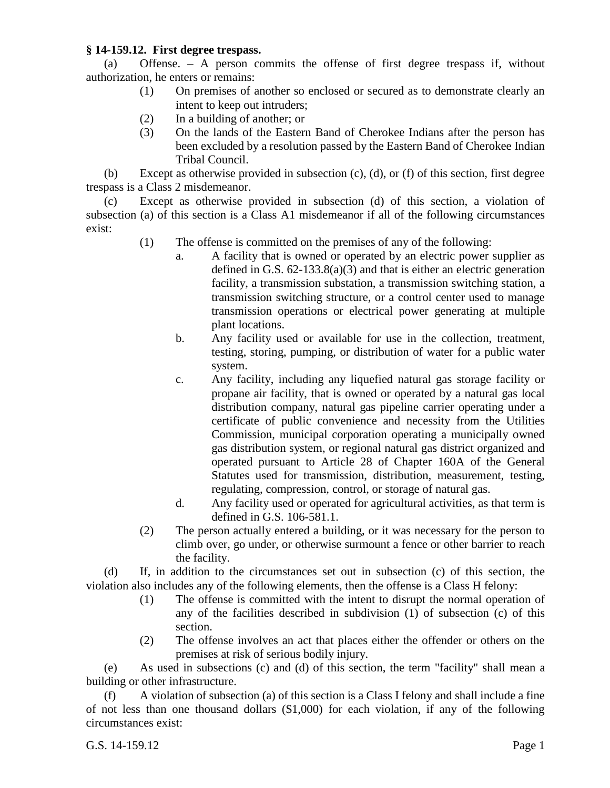## **§ 14-159.12. First degree trespass.**

(a) Offense. – A person commits the offense of first degree trespass if, without authorization, he enters or remains:

- (1) On premises of another so enclosed or secured as to demonstrate clearly an intent to keep out intruders;
- (2) In a building of another; or
- (3) On the lands of the Eastern Band of Cherokee Indians after the person has been excluded by a resolution passed by the Eastern Band of Cherokee Indian Tribal Council.

(b) Except as otherwise provided in subsection (c), (d), or (f) of this section, first degree trespass is a Class 2 misdemeanor.

(c) Except as otherwise provided in subsection (d) of this section, a violation of subsection (a) of this section is a Class A1 misdemeanor if all of the following circumstances exist:

- (1) The offense is committed on the premises of any of the following:
	- a. A facility that is owned or operated by an electric power supplier as defined in G.S. 62-133.8(a)(3) and that is either an electric generation facility, a transmission substation, a transmission switching station, a transmission switching structure, or a control center used to manage transmission operations or electrical power generating at multiple plant locations.
	- b. Any facility used or available for use in the collection, treatment, testing, storing, pumping, or distribution of water for a public water system.
	- c. Any facility, including any liquefied natural gas storage facility or propane air facility, that is owned or operated by a natural gas local distribution company, natural gas pipeline carrier operating under a certificate of public convenience and necessity from the Utilities Commission, municipal corporation operating a municipally owned gas distribution system, or regional natural gas district organized and operated pursuant to Article 28 of Chapter 160A of the General Statutes used for transmission, distribution, measurement, testing, regulating, compression, control, or storage of natural gas.
	- d. Any facility used or operated for agricultural activities, as that term is defined in G.S. 106-581.1.
- (2) The person actually entered a building, or it was necessary for the person to climb over, go under, or otherwise surmount a fence or other barrier to reach the facility.

(d) If, in addition to the circumstances set out in subsection (c) of this section, the violation also includes any of the following elements, then the offense is a Class H felony:

- (1) The offense is committed with the intent to disrupt the normal operation of any of the facilities described in subdivision (1) of subsection (c) of this section.
- (2) The offense involves an act that places either the offender or others on the premises at risk of serious bodily injury.

(e) As used in subsections (c) and (d) of this section, the term "facility" shall mean a building or other infrastructure.

(f) A violation of subsection (a) of this section is a Class I felony and shall include a fine of not less than one thousand dollars (\$1,000) for each violation, if any of the following circumstances exist: